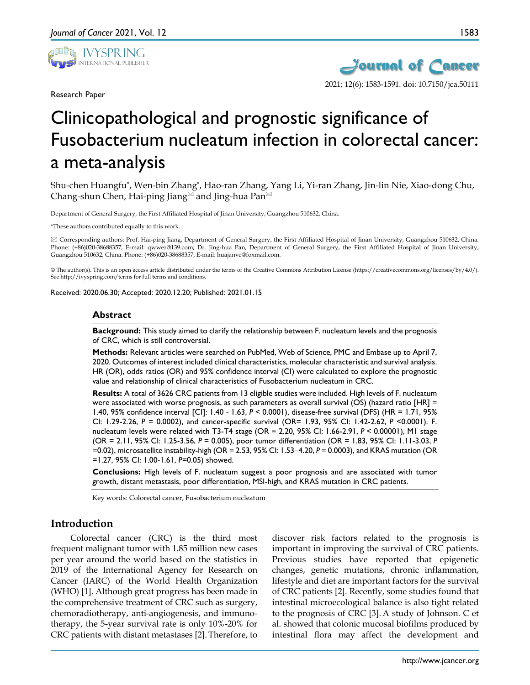

Research Paper



# Clinicopathological and prognostic significance of Fusobacterium nucleatum infection in colorectal cancer: a meta-analysis

Shu-chen Huangfu\*, Wen-bin Zhang\*, Hao-ran Zhang, Yang Li, Yi-ran Zhang, Jin-lin Nie, Xiao-dong Chu, Chang-shun Chen, Hai-ping Jiang and Jing-hua Pan<sup> $\boxtimes$ </sup>

Department of General Surgery, the First Affiliated Hospital of Jinan University, Guangzhou 510632, China.

\*These authors contributed equally to this work.

 Corresponding authors: Prof. Hai-ping Jiang, Department of General Surgery, the First Affiliated Hospital of Jinan University, Guangzhou 510632, China. Phone: (+86)020-38688357, E-mail: qwwer@139.com; Dr. Jing-hua Pan, Department of General Surgery, the First Affiliated Hospital of Jinan University, Guangzhou 510632, China. Phone: (+86)020-38688357, E-mail: huajanve@foxmail.com.

© The author(s). This is an open access article distributed under the terms of the Creative Commons Attribution License (https://creativecommons.org/licenses/by/4.0/). See http://ivyspring.com/terms for full terms and conditions.

Received: 2020.06.30; Accepted: 2020.12.20; Published: 2021.01.15

#### **Abstract**

**Background:** This study aimed to clarify the relationship between F. nucleatum levels and the prognosis of CRC, which is still controversial.

**Methods:** Relevant articles were searched on PubMed, Web of Science, PMC and Embase up to April 7, 2020. Outcomes of interest included clinical characteristics, molecular characteristic and survival analysis. HR (OR), odds ratios (OR) and 95% confidence interval (CI) were calculated to explore the prognostic value and relationship of clinical characteristics of Fusobacterium nucleatum in CRC.

**Results:** A total of 3626 CRC patients from 13 eligible studies were included. High levels of F. nucleatum were associated with worse prognosis, as such parameters as overall survival (OS) (hazard ratio [HR] = 1.40, 95% confidence interval [CI]: 1.40 - 1.63, *P* < 0.0001), disease-free survival (DFS) (HR = 1.71, 95% CI: 1.29-2.26, *P* = 0.0002), and cancer-specific survival (OR= 1.93, 95% CI: 1.42-2.62, *P* <0.0001). F. nucleatum levels were related with T3-T4 stage (OR = 2.20, 95% CI: 1.66-2.91, *P* < 0.00001), M1 stage (OR = 2.11, 95% CI: 1.25-3.56, *P* = 0.005), poor tumor differentiation (OR = 1.83, 95% CI: 1.11-3.03, *P* =0.02), microsatellite instability-high (OR = 2.53, 95% CI: 1.53–4.20, *P* = 0.0003), and KRAS mutation (OR =1.27, 95% CI: 1.00-1.61, *P=*0.05) showed.

**Conclusions:** High levels of F. nucleatum suggest a poor prognosis and are associated with tumor growth, distant metastasis, poor differentiation, MSI-high, and KRAS mutation in CRC patients.

Key words: Colorectal cancer, Fusobacterium nucleatum

# **Introduction**

Colorectal cancer (CRC) is the third most frequent malignant tumor with 1.85 million new cases per year around the world based on the statistics in 2019 of the International Agency for Research on Cancer (IARC) of the World Health Organization (WHO) [1]. Although great progress has been made in the comprehensive treatment of CRC such as surgery, chemoradiotherapy, anti-angiogenesis, and immunotherapy, the 5-year survival rate is only 10%-20% for CRC patients with distant metastases [2]. Therefore, to

discover risk factors related to the prognosis is important in improving the survival of CRC patients. Previous studies have reported that epigenetic changes, genetic mutations, chronic inflammation, lifestyle and diet are important factors for the survival of CRC patients [2]. Recently, some studies found that intestinal microecological balance is also tight related to the prognosis of CRC [3]. A study of Johnson. C et al. showed that colonic mucosal biofilms produced by intestinal flora may affect the development and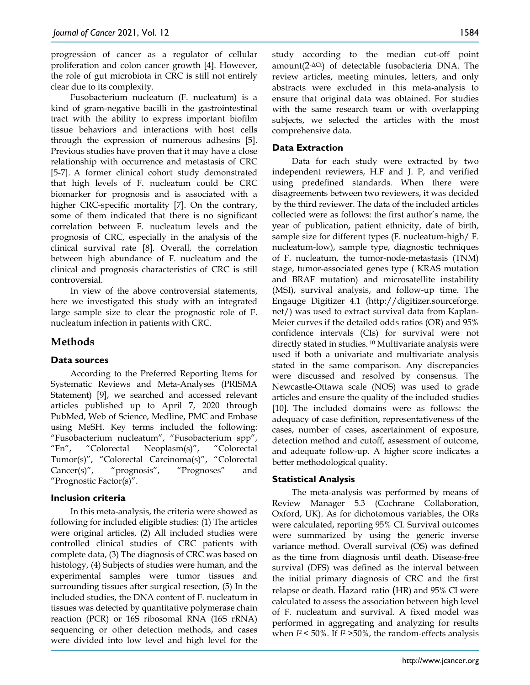progression of cancer as a regulator of cellular proliferation and colon cancer growth [4]. However, the role of gut microbiota in CRC is still not entirely clear due to its complexity.

Fusobacterium nucleatum (F. nucleatum) is a kind of gram-negative bacilli in the gastrointestinal tract with the ability to express important biofilm tissue behaviors and interactions with host cells through the expression of numerous adhesins [5]. Previous studies have proven that it may have a close relationship with occurrence and metastasis of CRC [5-7]. A former clinical cohort study demonstrated that high levels of F. nucleatum could be CRC biomarker for prognosis and is associated with a higher CRC-specific mortality [7]. On the contrary, some of them indicated that there is no significant correlation between F. nucleatum levels and the prognosis of CRC, especially in the analysis of the clinical survival rate [8]. Overall, the correlation between high abundance of F. nucleatum and the clinical and prognosis characteristics of CRC is still controversial.

In view of the above controversial statements, here we investigated this study with an integrated large sample size to clear the prognostic role of F. nucleatum infection in patients with CRC.

# **Methods**

# **Data sources**

According to the Preferred Reporting Items for Systematic Reviews and Meta-Analyses (PRISMA Statement) [9], we searched and accessed relevant articles published up to April 7, 2020 through PubMed, Web of Science, Medline, PMC and Embase using MeSH. Key terms included the following: "Fusobacterium nucleatum", "Fusobacterium spp", "Fn", "Colorectal Neoplasm(s)", "Colorectal Tumor(s)", "Colorectal Carcinoma(s)", "Colorectal Cancer(s)", "prognosis", "Prognoses" and "Prognostic Factor(s)".

## **Inclusion criteria**

In this meta-analysis, the criteria were showed as following for included eligible studies: (1) The articles were original articles, (2) All included studies were controlled clinical studies of CRC patients with complete data, (3) The diagnosis of CRC was based on histology, (4) Subjects of studies were human, and the experimental samples were tumor tissues and surrounding tissues after surgical resection, (5) In the included studies, the DNA content of F. nucleatum in tissues was detected by quantitative polymerase chain reaction (PCR) or 16S ribosomal RNA (16S rRNA) sequencing or other detection methods, and cases were divided into low level and high level for the

study according to the median cut-off point amount(2-ΔCt) of detectable fusobacteria DNA. The review articles, meeting minutes, letters, and only abstracts were excluded in this meta-analysis to ensure that original data was obtained. For studies with the same research team or with overlapping subjects, we selected the articles with the most comprehensive data.

# **Data Extraction**

Data for each study were extracted by two independent reviewers, H.F and J. P, and verified using predefined standards. When there were disagreements between two reviewers, it was decided by the third reviewer. The data of the included articles collected were as follows: the first author's name, the year of publication, patient ethnicity, date of birth, sample size for different types (F. nucleatum-high/ F. nucleatum-low), sample type, diagnostic techniques of F. nucleatum, the tumor-node-metastasis (TNM) stage, tumor-associated genes type ( KRAS mutation and BRAF mutation) and microsatellite instability (MSI), survival analysis, and follow-up time. The Engauge Digitizer 4.1 (http://digitizer.sourceforge. net/) was used to extract survival data from Kaplan-Meier curves if the detailed odds ratios (OR) and 95% confidence intervals (CIs) for survival were not directly stated in studies. <sup>10</sup> Multivariate analysis were used if both a univariate and multivariate analysis stated in the same comparison. Any discrepancies were discussed and resolved by consensus. The Newcastle-Ottawa scale (NOS) was used to grade articles and ensure the quality of the included studies [10]. The included domains were as follows: the adequacy of case definition, representativeness of the cases, number of cases, ascertainment of exposure, detection method and cutoff, assessment of outcome, and adequate follow-up. A higher score indicates a better methodological quality.

# **Statistical Analysis**

The meta-analysis was performed by means of Review Manager 5.3 (Cochrane Collaboration, Oxford, UK). As for dichotomous variables, the ORs were calculated, reporting 95% CI. Survival outcomes were summarized by using the generic inverse variance method. Overall survival (OS) was defined as the time from diagnosis until death. Disease-free survival (DFS) was defined as the interval between the initial primary diagnosis of CRC and the first relapse or death. Hazard ratio (HR) and 95% CI were calculated to assess the association between high level of F. nucleatum and survival. A fixed model was performed in aggregating and analyzing for results when *I2* < 50%. If *I2 >*50%, the random-effects analysis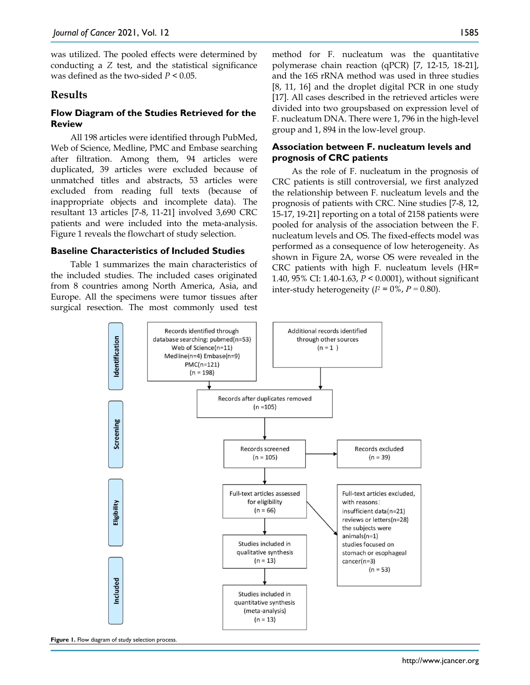was utilized. The pooled effects were determined by conducting a *Z* test, and the statistical significance was defined as the two-sided *P* < 0.05.

## **Results**

## **Flow Diagram of the Studies Retrieved for the Review**

All 198 articles were identified through PubMed, Web of Science, Medline, PMC and Embase searching after filtration. Among them, 94 articles were duplicated, 39 articles were excluded because of unmatched titles and abstracts, 53 articles were excluded from reading full texts (because of inappropriate objects and incomplete data). The resultant 13 articles [7-8, 11-21] involved 3,690 CRC patients and were included into the meta-analysis. Figure 1 reveals the flowchart of study selection.

#### **Baseline Characteristics of Included Studies**

Table 1 summarizes the main characteristics of the included studies. The included cases originated from 8 countries among North America, Asia, and Europe. All the specimens were tumor tissues after surgical resection. The most commonly used test

method for F. nucleatum was the quantitative polymerase chain reaction (qPCR) [7, 12-15, 18-21], and the 16S rRNA method was used in three studies [8, 11, 16] and the droplet digital PCR in one study [17]. All cases described in the retrieved articles were divided into two groupsbased on expression level of F. nucleatum DNA. There were 1, 796 in the high-level group and 1, 894 in the low-level group.

### **Association between F. nucleatum levels and prognosis of CRC patients**

As the role of F. nucleatum in the prognosis of CRC patients is still controversial, we first analyzed the relationship between F. nucleatum levels and the prognosis of patients with CRC. Nine studies [7-8, 12, 15-17, 19-21] reporting on a total of 2158 patients were pooled for analysis of the association between the F. nucleatum levels and OS. The fixed-effects model was performed as a consequence of low heterogeneity. As shown in Figure 2A, worse OS were revealed in the CRC patients with high F. nucleatum levels (HR= 1.40, 95% CI: 1.40-1.63, *P* < 0.0001), without significant inter-study heterogeneity  $(I^2 = 0\%$ ,  $P = 0.80$ ).



**Figure 1.** Flow diagram of study selection process.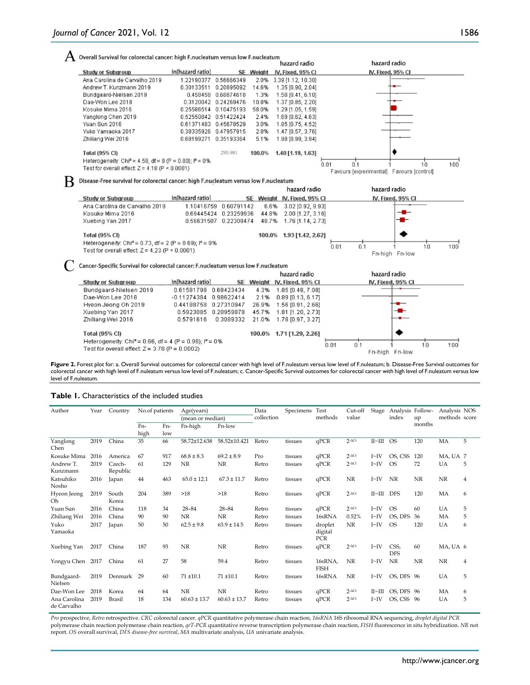| $\rm A$ Overall Survival for colorectal cancer: high F.nucleatum versus low F.nucleatum $\rm A$ |  |
|-------------------------------------------------------------------------------------------------|--|
|                                                                                                 |  |

|                                                                      |                       |                       |           | hazard radio            | hazard radio                             |                   |     |
|----------------------------------------------------------------------|-----------------------|-----------------------|-----------|-------------------------|------------------------------------------|-------------------|-----|
| <b>Study or Subgroup</b>                                             | In[hazard ratio]      |                       | SE Weight | IV. Fixed, 95% CI       |                                          | IV. Fixed, 95% CI |     |
| Ana Carolina de Carvalho 2019                                        | 1.22190377            | 0.56666349            |           | 2.0% 3.39 [1.12, 10.30] |                                          |                   |     |
| Andrew T. Kunzmann 2019                                              | 0.30133511            | 0.20895092            | 14.6%     | 1.35 [0.90, 2.04]       |                                          |                   |     |
| Bundgaard-Nielsen 2019                                               |                       | 0.458458 0.68874618   | 1.3%      | 1.58 [0.41, 6.10]       |                                          |                   |     |
| Dae-Won Lee 2018                                                     |                       | 0.3120042 0.24269476  | 10.8%     | 1.37 [0.85, 2.20]       |                                          |                   |     |
| Kosuke Mima 2016                                                     |                       | 0.25586514 0.10475193 | 58.0%     | 1.29 [1.05, 1.59]       |                                          |                   |     |
| Yanglong Chen 2019                                                   | 0.52550842 0.51422424 |                       | 2.4%      | 1.69 [0.62, 4.63]       |                                          |                   |     |
| Yuan Sun 2016                                                        |                       | 0.61371483 0.45678529 | 3.0%      | 1.85 [0.75, 4.52]       |                                          |                   |     |
| Yuko Yamaoka 2017                                                    |                       | 0.38335926 0.47957915 | 2.8%      | 1.47 [0.57, 3.76]       |                                          |                   |     |
| Zhiliang Wei 2016                                                    | 0.68199271            | 0.35193364            | 5.1%      | 1.98 [0.99, 3.94]       |                                          |                   |     |
| Total (95% CI)                                                       |                       | 295.981               | 100.0%    | 1.40 [1.19, 1.63]       |                                          |                   |     |
| Heterogeneity: Chi <sup>2</sup> = 4.58, df = 8 (P = 0.80); $P = 0\%$ |                       |                       |           |                         |                                          |                   |     |
| Test for overall effect: $Z = 4.18$ (P < 0.0001)                     |                       |                       |           |                         | 0.01<br>0.1                              | 1 <sub>0</sub>    | 100 |
|                                                                      |                       |                       |           |                         | Favours [experimental] Favours [control] |                   |     |

 $\, {\bf B} \,$  Disease-Free survival for colorectal cancer: high F.nucleatum versus low F.nucleatum

|                                                                                                                          |                  |                       | hazard radio                |            | hazard radio      |    |     |
|--------------------------------------------------------------------------------------------------------------------------|------------------|-----------------------|-----------------------------|------------|-------------------|----|-----|
| <b>Study or Subgroup</b>                                                                                                 | In[hazard ratio] |                       | SE Weight IV, Fixed, 95% CI |            | IV, Fixed, 95% CI |    |     |
| Ana Carolina de Carvalho 2019                                                                                            |                  | 1.10416759 0.60791142 | 6.6% 3.02 [0.92, 9.93]      |            |                   |    |     |
| Kosuke Mima 2016                                                                                                         | 0.69445424       | 0.23259936            | 44.8% 2.00 [1.27, 3.16]     |            | --                |    |     |
| Xuebing Yan 2017                                                                                                         |                  | 0.56631507 0.22308474 | 48.7% 1.76 [1.14, 2.73]     |            |                   |    |     |
| <b>Total (95% CI)</b>                                                                                                    |                  |                       | 100.0% 1.93 [1.42, 2.62]    |            |                   |    |     |
| Heterogeneity: Chi <sup>2</sup> = 0.73, df = 2 (P = 0.69); $P = 0\%$<br>Test for overall effect: $Z = 4.23$ (P < 0.0001) |                  |                       |                             | 0.01<br>Ο. | Fn-high Fn-low    | 10 | 100 |

C Cancer-Specific Survival for colorectal cancer: F.nucleatum versus low F.nucleatum

|                                                                                               |                          |        | hazard radio                | hazard radio                               |
|-----------------------------------------------------------------------------------------------|--------------------------|--------|-----------------------------|--------------------------------------------|
| Study or Subgroup                                                                             | In[hazard ratio]         |        | SE Weight IV, Fixed, 95% CI | IV, Fixed, 95% CI                          |
| Bundgaard-Nielsen 2019                                                                        | 0.61581798 0.68423434    | 4.3%   | 1.85 [0.48, 7.08]           |                                            |
| Dae-Won Lee 2018                                                                              | $-0.11274384$ 0.98622414 | 2.1%   | $0.89$ [0.13, 6.17]         |                                            |
| Hyeon Jeong Oh 2019                                                                           | 0.44188758 0.27310947    | 26.9%  | 1.56 [0.91, 2.66]           |                                            |
| Xuebing Yan 2017                                                                              | 0.5923085 0.20959878     | 45.7%  | 1.81 [1.20, 2.73]           |                                            |
| Zhiliang Wei 2016                                                                             | 0.3089332<br>0.5791616   | 21.0%  | 1.78 [0.97, 3.27]           |                                            |
| <b>Total (95% CI)</b><br>Heterogeneity: Chi <sup>2</sup> = 0.66, df = 4 (P = 0.96); $P = 0\%$ |                          | 100.0% | 1.7111.29.2.261             |                                            |
| Test for overall effect: $Z = 3.78$ (P = 0.0002)                                              |                          |        |                             | 100<br>0.01<br>0.1<br>10<br>Fn-high Fn-low |

Figure 2. Forest plot for: a. Overall Survival outcomes for colorectal cancer with high level of F.nuleatum versus low level of F.nuleatum; b. Disease-Free Survival outcomes for colorectal cancer with high level of F.nuleatum versus low level of F.nuleatum; c. Cancer-Specific Survival outcomes for colorectal cancer with high level of F.nuleatum versus low level of F.nuleatum.

#### **Table 1.** Characteristics of the included studies

| Author                      | Year | Country            | No.of patients |     | Age(years)       |                  | Data       | Specimens | Test                      | Cut-off           | Stage             | Analysis Follow-   |           | Analysis NOS  |   |
|-----------------------------|------|--------------------|----------------|-----|------------------|------------------|------------|-----------|---------------------------|-------------------|-------------------|--------------------|-----------|---------------|---|
|                             |      |                    |                |     | (mean or median) |                  | collection |           | methods                   | value             |                   | index              | up        | methods score |   |
|                             |      |                    | Fn-            | Fn- | Fn-high          | Fn-low           |            |           |                           |                   |                   |                    | months    |               |   |
|                             |      |                    | high           | low |                  |                  |            |           |                           |                   |                   |                    |           |               |   |
| Yanglong<br>Chen            | 2019 | China              | 35             | 66  | 58.72±12.638     | 58.52±10.421     | Retro      | tissues   | qPCR                      | $2-ACt$           | II~               | <b>OS</b>          | 120       | MA            | 5 |
| Kosuke Mima                 | 2016 | America            | 67             | 917 | $68.8 \pm 8.3$   | $69.2 \pm 8.9$   | Pro        | tissues   | qPCR                      | $2$ - $\Delta$ Ct | I~V               | OS, CSS            | 120       | MA, UA 7      |   |
| Andrew T.<br>Kunzmann       | 2019 | Czech-<br>Republic | 61             | 129 | <b>NR</b>        | <b>NR</b>        | Retro      | tissues   | qPCR                      | $2 - \Delta Ct$   | I~V               | <b>OS</b>          | 72        | UA            | 5 |
| Katsuhiko<br>Nosho          | 2016 | Japan              | 44             | 463 | $65.0 \pm 12.1$  | $67.3 \pm 11.7$  | Retro      | tissues   | qPCR                      | NR                | I~V               | NR                 | <b>NR</b> | <b>NR</b>     | 4 |
| Hyeon Jeong<br>Oh           | 2019 | South<br>Korea     | 204            | 389 | >18              | >18              | Retro      | tissues   | qPCR                      | $2-ACt$           | $II~$ - $III$ DFS |                    | 120       | MA            | 6 |
| Yuan Sun                    | 2016 | China              | 118            | 34  | $28 - 84$        | $28 - 84$        | Retro      | tissues   | qPCR                      | $2-ACt$           | $I\sim$ IV        | <b>OS</b>          | 60        | UA            | 5 |
| Zhiliang Wei                | 2016 | China              | 90             | 90  | <b>NR</b>        | <b>NR</b>        | Retro      | tissues   | 16sRNA                    | 0.52%             | I~V               | OS. DFS            | 36        | MA            | 5 |
| Yuko<br>Yamaoka             | 2017 | Japan              | 50             | 50  | $62.5 \pm 9.8$   | $63.9 \pm 14.5$  | Retro      | tissues   | droplet<br>digital<br>PCR | <b>NR</b>         | I~V               | <b>OS</b>          | 120       | <b>UA</b>     | 6 |
| Xuebing Yan                 | 2017 | China              | 187            | 93  | <b>NR</b>        | NR               | Retro      | tissues   | qPCR                      | $2-ACt$           | I~V               | CSS,<br><b>DFS</b> | 60        | MA, UA 6      |   |
| Yongyu Chen                 | 2017 | China              | 61             | 27  | 58               | 59.4             | Retro      | tissues   | 16sRNA,<br><b>FISH</b>    | <b>NR</b>         | I~V               | <b>NR</b>          | <b>NR</b> | <b>NR</b>     | 4 |
| Bundgaard-<br>Nielsen       | 2019 | Denmark            | 29             | 60  | $71 + 10.1$      | $71 + 10.1$      | Retro      | tissues   | 16sRNA                    | <b>NR</b>         | I~V               | OS. DFS 96         |           | <b>UA</b>     | 5 |
| Dae-Won Lee                 | 2018 | Korea              | 64             | 64  | NR               | <b>NR</b>        | Retro      | tissues   | qPCR                      | $2$ - $\Delta$ Ct | II~               | OS. DFS 96         |           | MA            | 6 |
| Ana Carolina<br>de Carvalho | 2019 | <b>Brasil</b>      | 18             | 134 | $60.63 \pm 13.7$ | $60.63 \pm 13.7$ | Retro      | tissues   | qPCR                      | $2-ACt$           | $I\sim$ IV        | OS. CSS 96         |           | UA            | 5 |

*Pro* prospective, *Retro* retrospective. *CRC* colorectal cancer. *qPCR* quantitative polymerase chain reaction, *16sRNA* 16S ribosomal RNA sequencing, *droplet digital PCR* polymerase chain reaction polymerase chain reaction, *qrT-PCR* quantitative reverse transcription polymerase chain reaction, *FISH* fluorescence in situ hybridization. *NR* not report. *OS* overall survival, *DFS disease-free survival*, *MA* multivariate analysis, *UA* univariate analysis.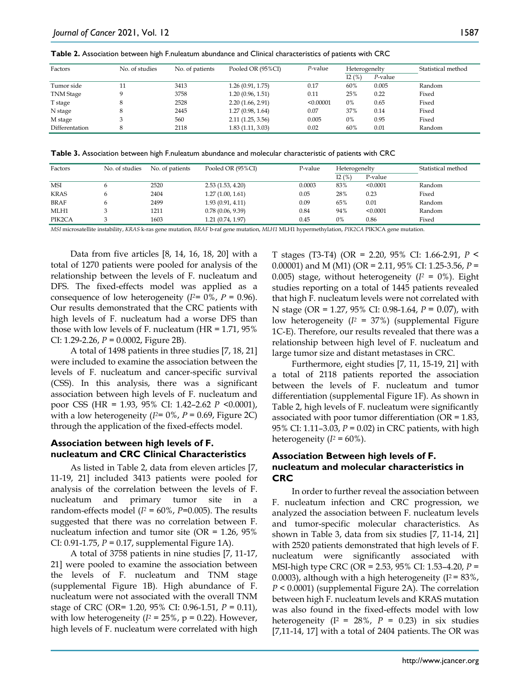| Table 2. Association between high F.nuleatum abundance and Clinical characteristics of patients with CRC |  |  |  |
|----------------------------------------------------------------------------------------------------------|--|--|--|
|----------------------------------------------------------------------------------------------------------|--|--|--|

| Factors          | No. of studies | No. of patients | Pooled OR (95%CI) | P-value   | Heterogenelty |         | Statistical method |
|------------------|----------------|-----------------|-------------------|-----------|---------------|---------|--------------------|
|                  |                |                 |                   |           | I2(%)         | P-value |                    |
| Tumor side       |                | 3413            | 1.26(0.91, 1.75)  | 0.17      | 60%           | 0.005   | Random             |
| <b>TNM</b> Stage | Q              | 3758            | 1.20(0.96, 1.51)  | 0.11      | 25%           | 0.22    | Fixed              |
| T stage          | 8              | 2528            | 2.20(1.66, 2.91)  | < 0.00001 | $0\%$         | 0.65    | Fixed              |
| N stage          | 8              | 2445            | 1.27(0.98, 1.64)  | 0.07      | 37%           | 0.14    | Fixed              |
| M stage          |                | 560             | 2.11(1.25, 3.56)  | 0.005     | 0%            | 0.95    | Fixed              |
| Differentation   |                | 2118            | 1.83(1.11, 3.03)  | 0.02      | 60%           | 0.01    | Random             |

**Table 3.** Association between high F.nuleatum abundance and molecular characteristic of patients with CRC

| Factors     | No. of studies | No. of patients | Pooled OR (95%CI) | P-value | Heterogenelty |          | Statistical method |
|-------------|----------------|-----------------|-------------------|---------|---------------|----------|--------------------|
|             |                |                 |                   |         | I2(%)         | P-value  |                    |
| <b>MSI</b>  |                | 2520            | 2.53(1.53, 4.20)  | 0.0003  | 83%           | < 0.0001 | Random             |
| <b>KRAS</b> |                | 2404            | 1.27(1.00, 1.61)  | 0.05    | 28%           | 0.23     | Fixed              |
| BRAF        |                | 2499            | 1.93(0.91, 4.11)  | 0.09    | 65%           | 0.01     | Random             |
| MLH1        |                | 1211            | 0.78(0.06, 9.39)  | 0.84    | 94%           | < 0.0001 | Random             |
| PIK2CA      |                | 1603            | 1.21(0.74, 1.97)  | 0.45    | 0%            | 0.86     | Fixed              |

*MSI* microsatellite instability, *KRAS* k-ras gene mutation*, BRAF* b-raf gene mutation, *MLH1* MLH1 hypermethylation, *PIK2CA* PIK3CA gene mutation.

Data from five articles [8, 14, 16, 18, 20] with a total of 1270 patients were pooled for analysis of the relationship between the levels of F. nucleatum and DFS. The fixed-effects model was applied as a consequence of low heterogeneity ( $I^{2}=0\%$ ,  $P=0.96$ ). Our results demonstrated that the CRC patients with high levels of F. nucleatum had a worse DFS than those with low levels of F. nucleatum (HR =  $1.71$ ,  $95\%$ CI: 1.29-2.26, *P* = 0.0002, Figure 2B).

A total of 1498 patients in three studies [7, 18, 21] were included to examine the association between the levels of F. nucleatum and cancer-specific survival (CSS). In this analysis, there was a significant association between high levels of F. nucleatum and poor CSS (HR = 1.93, 95% CI: 1.42–2.62 *P* <0.0001), with a low heterogeneity (*I2*= 0%, *P* = 0.69, Figure 2C) through the application of the fixed-effects model.

### **Association between high levels of F. nucleatum and CRC Clinical Characteristics**

As listed in Table 2, data from eleven articles [7, 11-19, 21] included 3413 patients were pooled for analysis of the correlation between the levels of F. nucleatum and primary tumor site in a random-effects model  $(I^2 = 60\%$ ,  $P=0.005$ ). The results suggested that there was no correlation between F. nucleatum infection and tumor site (OR = 1.26, 95% CI: 0.91-1.75, *P =* 0.17, supplemental Figure 1A).

A total of 3758 patients in nine studies [7, 11-17, 21] were pooled to examine the association between the levels of F. nucleatum and TNM stage (supplemental Figure 1B). High abundance of F. nucleatum were not associated with the overall TNM stage of CRC (OR= 1.20, 95% CI: 0.96-1.51, *P =* 0.11), with low heterogeneity  $(I^2 = 25\%$ ,  $p = 0.22$ ). However, high levels of F. nucleatum were correlated with high T stages (T3-T4) (OR = 2.20, 95% CI: 1.66-2.91, *P* < 0.00001) and M (M1) (OR = 2.11, 95% CI: 1.25-3.56, *P* = 0.005) stage, without heterogeneity  $(I^2 = 0\%)$ . Eight studies reporting on a total of 1445 patients revealed that high F. nucleatum levels were not correlated with N stage (OR = 1.27, 95% CI: 0.98-1.64, *P* = 0.07), with low heterogeneity  $(I^2 = 37%)$  (supplemental Figure 1C-E). Therefore, our results revealed that there was a relationship between high level of F. nucleatum and large tumor size and distant metastases in CRC.

Furthermore, eight studies [7, 11, 15-19, 21] with a total of 2118 patients reported the association between the levels of F. nucleatum and tumor differentiation (supplemental Figure 1F). As shown in Table 2, high levels of F. nucleatum were significantly associated with poor tumor differentiation (OR = 1.83, 95% CI: 1.11–3.03, *P* = 0.02) in CRC patients, with high heterogeneity  $(I^2 = 60\%).$ 

## **Association Between high levels of F. nucleatum and molecular characteristics in CRC**

In order to further reveal the association between F. nucleatum infection and CRC progression, we analyzed the association between F. nucleatum levels and tumor-specific molecular characteristics. As shown in Table 3, data from six studies [7, 11-14, 21] with 2520 patients demonstrated that high levels of F. nucleatum were significantly associated with MSI-high type CRC (OR = 2.53, 95% CI: 1.53–4.20, *P* = 0.0003), although with a high heterogeneity ( $I^2 = 83\%$ , *P* < 0.0001) (supplemental Figure 2A). The correlation between high F. nucleatum levels and KRAS mutation was also found in the fixed-effects model with low heterogeneity ( $I^2 = 28\%$ ,  $P = 0.23$ ) in six studies [7,11-14, 17] with a total of 2404 patients. The OR was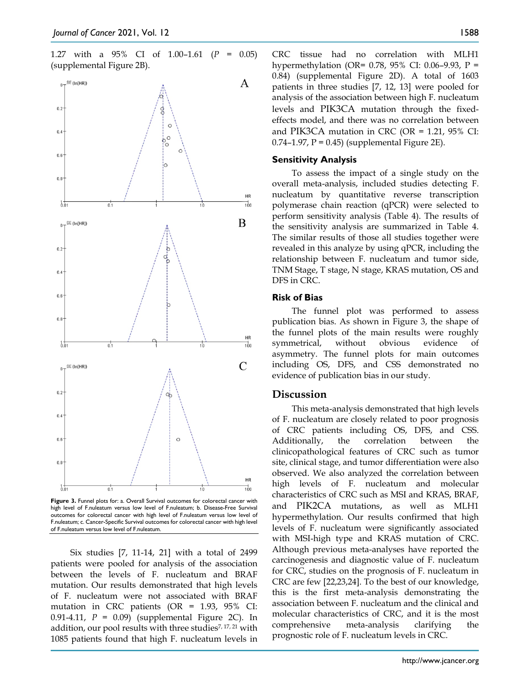1.27 with a 95% CI of 1.00–1.61 (*P =* 0.05) (supplemental Figure 2B).



**Figure 3.** Funnel plots for: a. Overall Survival outcomes for colorectal cancer with high level of F.nuleatum versus low level of F.nuleatum; b. Disease-Free Survival outcomes for colorectal cancer with high level of F.nuleatum versus low level of F.nuleatum; c. Cancer-Specific Survival outcomes for colorectal cancer with high level of F.nuleatum versus low level of F.nuleatum.

Six studies [7, 11-14, 21] with a total of 2499 patients were pooled for analysis of the association between the levels of F. nucleatum and BRAF mutation. Our results demonstrated that high levels of F. nucleatum were not associated with BRAF mutation in CRC patients (OR = 1.93, 95% CI: 0.91-4.11, *P* = 0.09) (supplemental Figure 2C). In addition, our pool results with three studies7, 17, 21 with 1085 patients found that high F. nucleatum levels in CRC tissue had no correlation with MLH1 hypermethylation (OR= 0.78, 95% CI: 0.06–9.93, P = 0.84) (supplemental Figure 2D). A total of 1603 patients in three studies [7, 12, 13] were pooled for analysis of the association between high F. nucleatum levels and PIK3CA mutation through the fixedeffects model, and there was no correlation between and PIK3CA mutation in CRC (OR =  $1.21$ , 95% CI:  $0.74$ –1.97, P = 0.45) (supplemental Figure 2E).

#### **Sensitivity Analysis**

To assess the impact of a single study on the overall meta-analysis, included studies detecting F. nucleatum by quantitative reverse transcription polymerase chain reaction (qPCR) were selected to perform sensitivity analysis (Table 4). The results of the sensitivity analysis are summarized in Table 4. The similar results of those all studies together were revealed in this analyze by using qPCR, including the relationship between F. nucleatum and tumor side, TNM Stage, T stage, N stage, KRAS mutation, OS and DFS in CRC.

#### **Risk of Bias**

The funnel plot was performed to assess publication bias. As shown in Figure 3, the shape of the funnel plots of the main results were roughly symmetrical, without obvious evidence of asymmetry. The funnel plots for main outcomes including OS, DFS, and CSS demonstrated no evidence of publication bias in our study.

#### **Discussion**

This meta-analysis demonstrated that high levels of F. nucleatum are closely related to poor prognosis of CRC patients including OS, DFS, and CSS. Additionally, the correlation between the clinicopathological features of CRC such as tumor site, clinical stage, and tumor differentiation were also observed. We also analyzed the correlation between high levels of F. nucleatum and molecular characteristics of CRC such as MSI and KRAS, BRAF, and PIK2CA mutations, as well as MLH1 hypermethylation. Our results confirmed that high levels of F. nucleatum were significantly associated with MSI-high type and KRAS mutation of CRC. Although previous meta-analyses have reported the carcinogenesis and diagnostic value of F. nucleatum for CRC, studies on the prognosis of F. nucleatum in CRC are few [22,23,24]. To the best of our knowledge, this is the first meta-analysis demonstrating the association between F. nucleatum and the clinical and molecular characteristics of CRC, and it is the most comprehensive meta-analysis clarifying the prognostic role of F. nucleatum levels in CRC.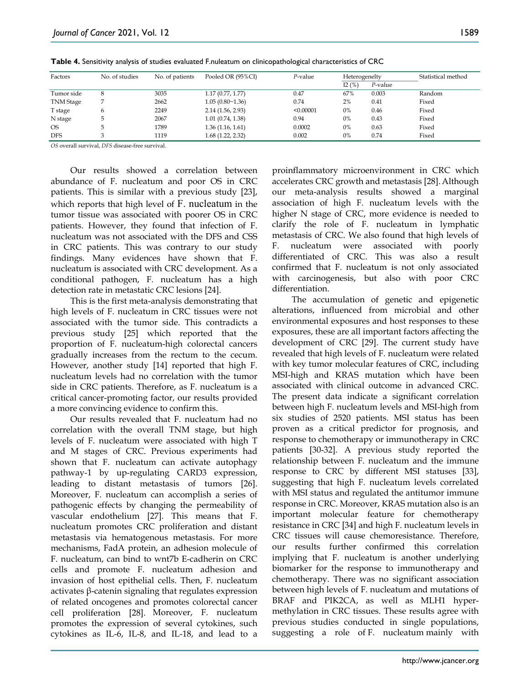| Factors          | No. of studies | No. of patients | Pooled OR (95%CI) | P-value   | Heterogenelty |         | Statistical method |
|------------------|----------------|-----------------|-------------------|-----------|---------------|---------|--------------------|
|                  |                |                 |                   |           | I2(%)         | P-value |                    |
| Tumor side       | 8              | 3035            | 1.17(0.77, 1.77)  | 0.47      | 67%           | 0.003   | Random             |
| <b>TNM</b> Stage |                | 2662            | 1.05(0.80~1.36)   | 0.74      | 2%            | 0.41    | Fixed              |
| T stage          | 6              | 2249            | 2.14(1.56, 2.93)  | < 0.00001 | 0%            | 0.46    | Fixed              |
| N stage          |                | 2067            | 1.01(0.74, 1.38)  | 0.94      | 0%            | 0.43    | Fixed              |
| <b>OS</b>        |                | 1789            | 1.36(1.16, 1.61)  | 0.0002    | 0%            | 0.63    | Fixed              |
| <b>DFS</b>       |                | 1119            | 1.68(1.22, 2.32)  | 0.002     | 0%            | 0.74    | Fixed              |

**Table 4.** Sensitivity analysis of studies evaluated F.nuleatum on clinicopathological characteristics of CRC

*OS* overall survival, *DFS* disease-free survival.

Our results showed a correlation between abundance of F. nucleatum and poor OS in CRC patients. This is similar with a previous study [23], which reports that high level of F. nucleatum in the tumor tissue was associated with poorer OS in CRC patients. However, they found that infection of F. nucleatum was not associated with the DFS and CSS in CRC patients. This was contrary to our study findings. Many evidences have shown that F. nucleatum is associated with CRC development. As a conditional pathogen, F. nucleatum has a high detection rate in metastatic CRC lesions [24].

This is the first meta-analysis demonstrating that high levels of F. nucleatum in CRC tissues were not associated with the tumor side. This contradicts a previous study [25] which reported that the proportion of F. nucleatum-high colorectal cancers gradually increases from the rectum to the cecum. However, another study [14] reported that high F. nucleatum levels had no correlation with the tumor side in CRC patients. Therefore, as F. nucleatum is a critical cancer-promoting factor, our results provided a more convincing evidence to confirm this.

Our results revealed that F. nucleatum had no correlation with the overall TNM stage, but high levels of F. nucleatum were associated with high T and M stages of CRC. Previous experiments had shown that F. nucleatum can activate autophagy pathway-1 by up-regulating CARD3 expression, leading to distant metastasis of tumors [26]. Moreover, F. nucleatum can accomplish a series of pathogenic effects by changing the permeability of vascular endothelium [27]. This means that F. nucleatum promotes CRC proliferation and distant metastasis via hematogenous metastasis. For more mechanisms, FadA protein, an adhesion molecule of F. nucleatum, can bind to wnt7b E-cadherin on CRC cells and promote F. nucleatum adhesion and invasion of host epithelial cells. Then, F. nucleatum activates β-catenin signaling that regulates expression of related oncogenes and promotes colorectal cancer cell proliferation [28]. Moreover, F. nucleatum promotes the expression of several cytokines, such cytokines as IL-6, IL-8, and IL-18, and lead to a

proinflammatory microenvironment in CRC which accelerates CRC growth and metastasis [28]. Although our meta-analysis results showed a marginal association of high F. nucleatum levels with the higher N stage of CRC, more evidence is needed to clarify the role of F. nucleatum in lymphatic metastasis of CRC. We also found that high levels of F. nucleatum were associated with poorly differentiated of CRC. This was also a result confirmed that F. nucleatum is not only associated with carcinogenesis, but also with poor CRC differentiation.

The accumulation of genetic and epigenetic alterations, influenced from microbial and other environmental exposures and host responses to these exposures, these are all important factors affecting the development of CRC [29]. The current study have revealed that high levels of F. nucleatum were related with key tumor molecular features of CRC, including MSI-high and KRAS mutation which have been associated with clinical outcome in advanced CRC. The present data indicate a significant correlation between high F. nucleatum levels and MSI-high from six studies of 2520 patients. MSI status has been proven as a critical predictor for prognosis, and response to chemotherapy or immunotherapy in CRC patients [30-32]. A previous study reported the relationship between F. nucleatum and the immune response to CRC by different MSI statuses [33], suggesting that high F. nucleatum levels correlated with MSI status and regulated the antitumor immune response in CRC. Moreover, KRAS mutation also is an important molecular feature for chemotherapy resistance in CRC [34] and high F. nucleatum levels in CRC tissues will cause chemoresistance. Therefore, our results further confirmed this correlation implying that F. nucleatum is another underlying biomarker for the response to immunotherapy and chemotherapy. There was no significant association between high levels of F. nucleatum and mutations of BRAF and PIK2CA, as well as MLH1 hypermethylation in CRC tissues. These results agree with previous studies conducted in single populations, suggesting a role of F. nucleatum mainly with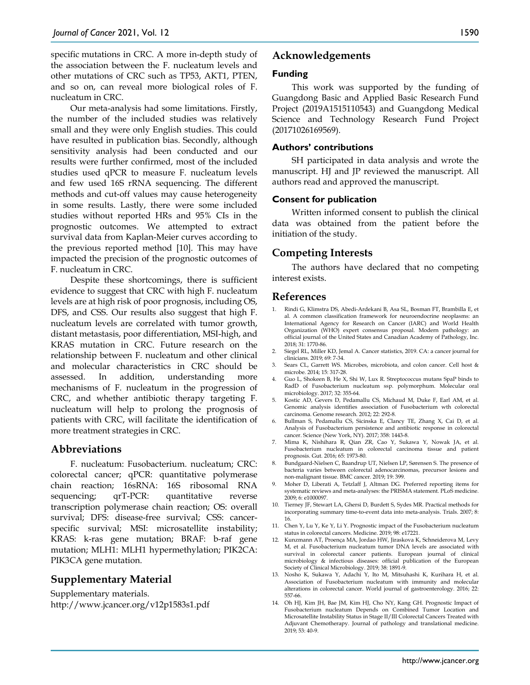specific mutations in CRC. A more in-depth study of the association between the F. nucleatum levels and other mutations of CRC such as TP53, AKT1, PTEN, and so on, can reveal more biological roles of F. nucleatum in CRC.

Our meta-analysis had some limitations. Firstly, the number of the included studies was relatively small and they were only English studies. This could have resulted in publication bias. Secondly, although sensitivity analysis had been conducted and our results were further confirmed, most of the included studies used qPCR to measure F. nucleatum levels and few used 16S rRNA sequencing. The different methods and cut-off values may cause heterogeneity in some results. Lastly, there were some included studies without reported HRs and 95% CIs in the prognostic outcomes. We attempted to extract survival data from Kaplan-Meier curves according to the previous reported method [10]. This may have impacted the precision of the prognostic outcomes of F. nucleatum in CRC.

Despite these shortcomings, there is sufficient evidence to suggest that CRC with high F. nucleatum levels are at high risk of poor prognosis, including OS, DFS, and CSS. Our results also suggest that high F. nucleatum levels are correlated with tumor growth, distant metastasis, poor differentiation, MSI-high, and KRAS mutation in CRC. Future research on the relationship between F. nucleatum and other clinical and molecular characteristics in CRC should be assessed. In addition, understanding more mechanisms of F. nucleatum in the progression of CRC, and whether antibiotic therapy targeting F. nucleatum will help to prolong the prognosis of patients with CRC, will facilitate the identification of more treatment strategies in CRC.

# **Abbreviations**

F. nucleatum: Fusobacterium. nucleatum; CRC: colorectal cancer; qPCR: quantitative polymerase chain reaction; 16sRNA: 16S ribosomal RNA sequencing; qrT-PCR: quantitative reverse transcription polymerase chain reaction; OS: overall survival; DFS: disease-free survival; CSS: cancerspecific survival; MSI: microsatellite instability; KRAS: k-ras gene mutation; BRAF: b-raf gene mutation; MLH1: MLH1 hypermethylation; PIK2CA: PIK3CA gene mutation.

# **Supplementary Material**

Supplementary materials. http://www.jcancer.org/v12p1583s1.pdf

# **Acknowledgements**

#### **Funding**

This work was supported by the funding of Guangdong Basic and Applied Basic Research Fund Project (2019A1515110543) and Guangdong Medical Science and Technology Research Fund Project (20171026169569).

#### **Authors' contributions**

SH participated in data analysis and wrote the manuscript. HJ and JP reviewed the manuscript. All authors read and approved the manuscript.

### **Consent for publication**

Written informed consent to publish the clinical data was obtained from the patient before the initiation of the study.

# **Competing Interests**

The authors have declared that no competing interest exists.

## **References**

- 1. Rindi G, Klimstra DS, Abedi-Ardekani B, Asa SL, Bosman FT, Brambilla E, et al. A common classification framework for neuroendocrine neoplasms: an International Agency for Research on Cancer (IARC) and World Health Organization (WHO) expert consensus proposal. Modern pathology: an official journal of the United States and Canadian Academy of Pathology, Inc. 2018; 31: 1770-86.
- 2. Siegel RL, Miller KD, Jemal A. Cancer statistics, 2019. CA: a cancer journal for clinicians. 2019; 69: 7-34.
- 3. Sears CL, Garrett WS. Microbes, microbiota, and colon cancer. Cell host & microbe. 2014; 15: 317-28.
- 4. Guo L, Shokeen B, He X, Shi W, Lux R. Streptococcus mutans SpaP binds to RadD of Fusobacterium nucleatum ssp. polymorphum. Molecular oral microbiology. 2017; 32: 355-64.
- 5. Kostic AD, Gevers D, Pedamallu CS, Michaud M, Duke F, Earl AM, et al. Genomic analysis identifies association of Fusobacterium wth colorectal carcinoma. Genome research. 2012; 22: 292-8.
- 6. Bullman S, Pedamallu CS, Sicinska E, Clancy TE, Zhang X, Cai D, et al. Analysis of Fusobacterium persistence and antibiotic response in colorectal cancer. Science (New York, NY). 2017; 358: 1443-8.
- 7. Mima K, Nishihara R, Qian ZR, Cao Y, Sukawa Y, Nowak JA, et al. Fusobacterium nucleatum in colorectal carcinoma tissue and patient prognosis. Gut. 2016; 65: 1973-80.
- 8. Bundgaard-Nielsen C, Baandrup UT, Nielsen LP, Sørensen S. The presence of bacteria varies between colorectal adenocarcinomas, precursor lesions and non-malignant tissue. BMC cancer. 2019; 19: 399.
- 9. Moher D, Liberati A, Tetzlaff J, Altman DG. Preferred reporting items for systematic reviews and meta-analyses: the PRISMA statement. PLoS medicine. 2009; 6: e1000097.
- 10. Tierney JF, Stewart LA, Ghersi D, Burdett S, Sydes MR. Practical methods for incorporating summary time-to-event data into meta-analysis. Trials. 2007; 8: 16.
- 11. Chen Y, Lu Y, Ke Y, Li Y. Prognostic impact of the Fusobacterium nucleatum status in colorectal cancers. Medicine. 2019; 98: e17221.
- 12. Kunzmann AT, Proença MA, Jordao HW, Jiraskova K, Schneiderova M, Levy M, et al. Fusobacterium nucleatum tumor DNA levels are associated with survival in colorectal cancer patients. European journal of clinical microbiology & infectious diseases: official publication of the European Society of Clinical Microbiology. 2019; 38: 1891-9.
- 13. Nosho K, Sukawa Y, Adachi Y, Ito M, Mitsuhashi K, Kurihara H, et al. Association of Fusobacterium nucleatum with immunity and molecular alterations in colorectal cancer. World journal of gastroenterology. 2016; 22: 557-66.
- 14. Oh HJ, Kim JH, Bae JM, Kim HJ, Cho NY, Kang GH. Prognostic Impact of Fusobacterium nucleatum Depends on Combined Tumor Location and Microsatellite Instability Status in Stage II/III Colorectal Cancers Treated with Adjuvant Chemotherapy. Journal of pathology and translational medicine. 2019; 53: 40-9.